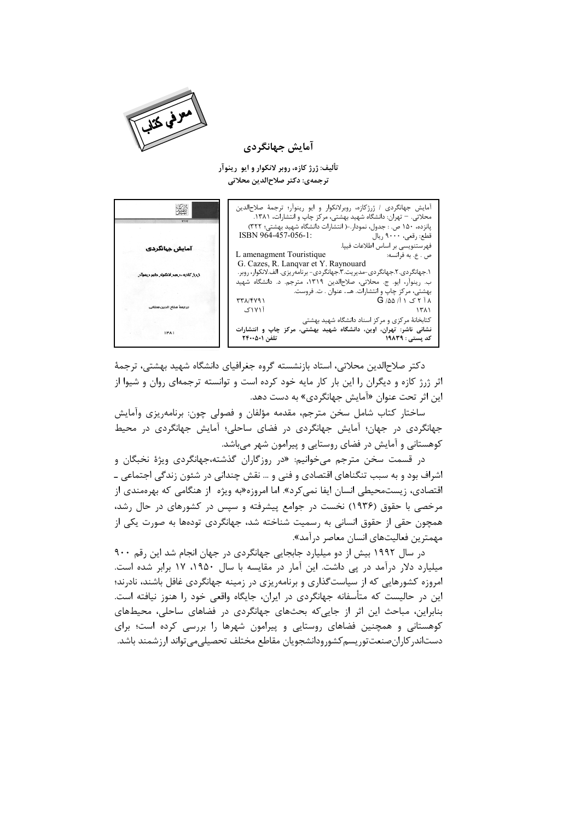

آمایش جهانگردی

تألیف: ژرژ کازه، روبر لانکوار و ایو رینوآر ترجمهي: دكتر صلاح|لدين محلاتي

آمایش جهانگردی / ژرژکازه، روبرلانکوار و ایو رینوآر؛ ترجمهٔ صلاحالدین 擲 محلاتی. – تهران: دانشگاه شهید بهشتی، مرکز چاپ و انتشارات، ۱۳۸۱. پانزده، ۱۵۰ ص. : جدول، نمودار.-( انتشارات دانشگاه شهید بهشتی؛ ۳۲۲) ISBN 964-457-056-1: .<br>قطع: رقعي، ٩٠٠٠ ريال .<br>فهرستنویسی بر اساس اطلاعات فییا. آمایش جہانگردی ۔<br>ص . ع. به فرانسه: L amenagment Touristique G. Cazes, R. Lanqvar et Y. Raynouard ۱.جهانگردی.۲.جهانگردی-مدیریت.۳.جهانگردی- برنامهریزی. الف.لانکوار، روبر. ذرز کازه، روبر لانکوار وابو ر ب. رينواًر، ايو. ج. مُحلّاتي، صَلاحالدين ١٣١٩، مترجّم. د. دانشگاه شهيد بهشتی، مرکز چاپ و انتشارات. هـ. عنوان . ت. فروست.  $TT\lambda/FV91$  $G / \Delta \Delta / I$  )  $\Delta Y I \Lambda$ .<br>ترجمهٔ صلاح الدین ه آ ۱۷۱۱ک  $1511$ کتابخانهٔ مرکزی و مرکز اسناد دانشگاه شهید بهشتی نشانی ناشر: تهران، اوین، دانشگاه شهید بهشتی، مرکز چاپ و انتشارات  $1W_{A}$ کد پستی : ١٩٨٣٩ تلفن ٢۴٠٠۵٠١

دكتر صلاح|لدين محلاتي، استاد بازنشسته گروه جغرافياي دانشگاه شهيد بهشتي، ترجمهٔ اثر ژرژ کازه و دیگران را این بار کار مایه خود کرده است و توانسته ترجمهای روان و شیوا از این اثر تحت عنوان «آمایش جهانگردی» به دست دهد.

ساختار کتاب شامل سخن مترجم، مقدمه مؤلفان و فصولی چون: برنامهریزی وآمایش جهانگردی در جهان؛ آمایش جهانگردی در فضای ساحلی؛ آمایش جهانگردی در محیط کوهستانی و آمایش در فضای روستایی و پیرامون شهر میباشد.

در قسمت سخن مترجم میخوانیم: «در روزگاران گذشته،جهانگردی ویژهٔ نخبگان و اشراف بود و به سبب تنگناهای اقتصادی و فنی و … نقش چندانی در شئون زندگی اجتماعی ــ اقتصادی، زیستمحیطی انسان ایفا نمی کرد». اما امروزه«به ویژه از هنگامی که بهرهمندی از مرخصی با حقوق (۱۹۳۶) نخست در جوامع پیشرفته و سپس در کشورهای در حال رشد، همچون حقی از حقوق انسانی به رسمیت شناخته شد، جهانگردی تودهها به صورت یکی از مهمترین فعالیتهای انسان معاصر درآمد».

در سال ۱۹۹۲ بیش از دو میلیارد جابجایی جهانگردی در جهان انجام شد این رقم ۹۰۰ میلیارد دلار درآمد در پی داشت. این آمار در مقایسه با سال ۱۹۵۰، ۱۷ برابر شده است. امروزه کشورهایی که از سیاستگذاری و برنامهریزی در زمینه جهانگردی غافل باشند، نادرند؛ این در حالیست که متأسفانه جهانگردی در ایران، جایگاه واقعی خود را هنوز نیافته است. بنابراین، مباحث این اثر از جایی که بحثهای جهانگردی در فضاهای ساحلی، محیطهای کوهستانی و همچنین فضاهای روستایی و پیرامون شهرها را بررسی کرده است؛ برای دستاندر كاران صنعت توريسم كشورودانشجويان مقاطع مختلف تحصيلي مى تواند ارز شمند باشد.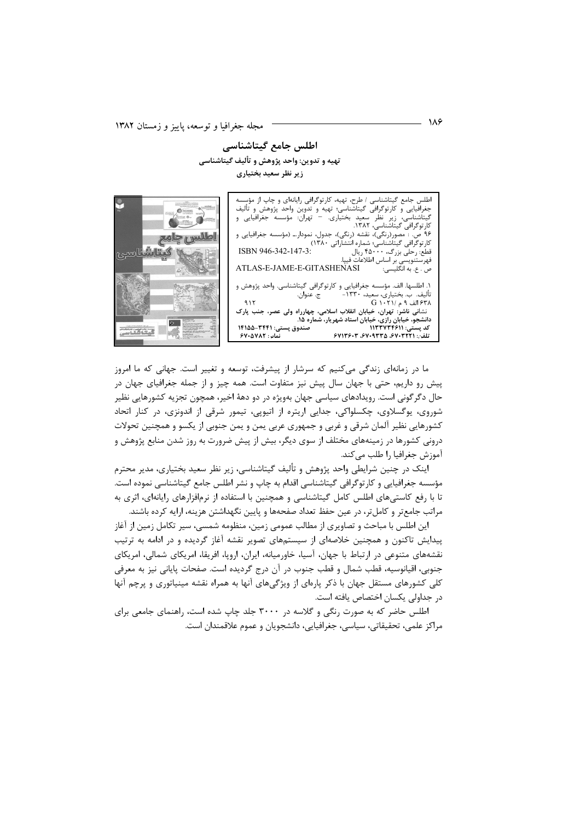لللس طمح

anglet H

اطلس جامع گیتاشناسی تهيه و تدوين: واحد پژوهش و تأليف گيتاشناسي زیر نظر سعید بختیاری

اطلس جامع گیتاشناسی / طرح، تهیه، کارتوگرافی رایانهای و چاپ از مؤسسه جغرافیایی و کارتوگرافی گیتاشناسی؛ تهیه و تدوین واحد پژوهش و تألیف<br>جغرافیایی و کارتوگرافی گیتاشناسی؛ تهیه و تدوین واحد پژوهش و تألیف<br>گیتاشناسی، زیر نظر سعید بختیاری. – تهران: مؤسسه جغرافیایی و کارتوگرافی گیتاشناسی، ۱۳۸۲. ۔<br>ص. : مصور(رنگی)، نقشه (رنگی)، جدول، نمودار.ــ (مؤسسه جغرافیایی و ... مستوربررسی.. مستقرر برسی.. بنون مه<br>کارتوگرافی گیتاشناسی؛ شماره انتشاراتی ۱۳۸۰)<br>قطع: رحلی بزرگ، ۴۵۰۰۰ ریال ISBN 946-342-147-3: س ر<br>فهرستنویسی بر اساس اطلاعات فیپا.<br>ص . ع. به انگلیسی: ATLAS-E-JAME-E-GITASHENASI ١. اطلسها. الف. مؤسسه جغرافيايي و كارتوگرافي گيتاشناسي. واحد پژوهش و ج. عنوان. تأليف. بْ. بختياريّ، سعيد، ١٣٣٠- $915$  $G \setminus Y \setminus A$ الف ۹ م /۲۰۲۱ G ً نشانی ناشر<sup>ا</sup>: تهران، خیابان انقلاب اسلامی، چهارراه ولی عصر، جنب پارک<br>دانشجو، خیابان رازی، خیابان استاد شهریار، شماره ۱۵.<br>کد پستی: ۱۱۳۳۷۳۴۶۱۱ ۔<br>صندوق پستی: ۱۴۱۵۵-۲۴۴۱ قماد : ۶۷۰۵۷۸۲ - ۶۷۱۳۶۰۳ ،۶۷۰۹۳۳۵ ، ۶۷۱۳۶۰۳



اینک در چنین شرایطی واحد پژوهش و تألیف گیتاشناسی، زیر نظر سعید بختیاری، مدیر محترم مؤسسه جغرافیایی و کارتوگرافی گیتاشناسی اقدام به چاپ و نشر اطلس جامع گیتاشناسی نموده است. تا با رفع کاستیهای اطلس کامل گیتاشناسی و همچنین با استفاده از نرمافزارهای رایانهای، اثری به مراتب جامع تر و کامل تر، در عین حفظ تعداد صفحهها و پایین نگهداشتن هزینه، ارایه کرده باشند.

این اطلس با مباحث و تصاویری از مطالب عمومی زمین، منظومه شمسی، سیر تکامل زمین از آغاز پیدایش تاکنون و همچنین خلاصهای از سیستمهای تصویر نقشه آغاز گردیده و در ادامه به ترتیب نقشههای متنوعی در ارتباط با جهان، آسیا، خاورمیانه، ایران، اروپا، افریقا، امریکای شمالی، امریکای جنوبي، اقيانوسيه، قطب شمال و قطب جنوب در آن درج گرديده است. صفحات پاياني نيز به معرفي کلی کشورهای مستقل جهان با ذکر پارهای از ویژگیهای آنها به همراه نقشه مینیاتوری و پرچم آنها در جداولی یکسان اختصاص یافته است.

اطلس حاضر که به صورت رنگی و گلاسه در ۳۰۰۰ جلد چاپ شده است، راهنمای جامعی برای مراكز علمي، تحقيقاتي، سياسي، جغرافيايي، دانشجويان و عموم علاقمندان است.

- 186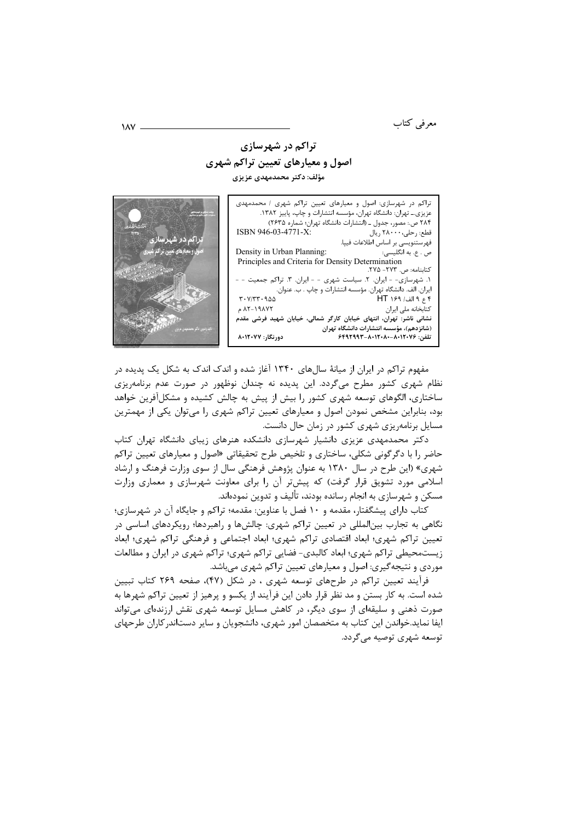معرفی کتاب

## تراکم در شهرسازی اصول و معیارهای تعیین تراکم شهری

مؤلف: دکتر محمدمهدی عزیزی



مفهوم تراکم در ایران از میانهٔ سالهای ۱۳۴۰ آغاز شده و اندک اندک به شکل یک پدیده در نظام شهری کشور مطرح میگردد. این پدیده نه چندان نوظهور در صورت عدم برنامهریزی ساختاری، الگوهای توسعه شهری کشور را بیش از پیش به چالش کشیده و مشکلآفرین خواهد بود، بنابراین مشخص نمودن اصول و معیارهای تعیین تراکم شهری را میتوان یکی از مهمترین مسایل برنامهریزی شهری کشور در زمان حال دانست.

دکتر محمدمهدی عزیزی دانشیار شهرسازی دانشکده هنرهای زیبای دانشگاه تهران کتاب حاضر را با دگرگونی شکلی، ساختاری و تلخیص طرح تحقیقاتی «اصول و معیارهای تعیین تراک<u>م</u> شهری» (این طرح در سال ۱۳۸۰ به عنوان پژوهش فرهنگی سال از سوی وزارت فرهنگ و ارشاد اسلامی مورد تشویق قرار گرفت) که پیشتر آن را برای معاونت شهرسازی و معماری وزارت مسکن و شهرسازی به انجام رسانده بودند، تألیف و تدوین نمودهاند.

کتاب دارای پیشگفتار، مقدمه و ۱۰ فصل با عناوین: مقدمه؛ تراکم و جایگاه آن در شهرسازی؛ نگاهی به تجارب بینالمللی در تعیین تراکم شهری: چالشها و راهبردها؛ رویکردهای اساسی در تعیین تراکم شهری؛ ابعاد اقتصادی تراکم شهری؛ ابعاد اجتماعی و فرهنگی تراکم شهری؛ ابعاد زیستمحیطی تراکم شهری؛ ابعاد کالبدی- فضایی تراکم شهری؛ تراکم شهری در ایران و مطالعات موردی و نتیجه گیری: اصول و معیارهای تعیین تراکم شهری میباشد.

فرآیند تعیین تراکم در طرحهای توسعه شهری ، در شکل (۴۷)، صفحه ۲۶۹ کتاب تبیین شده است. به کار بستن و مد نظر قرار دادن این فرآیند از یکسو و پرهیز از تعیین تراکم شهرها به صورت ذهنی و سلیقهای از سوی دیگر، در کاهش مسایل توسعه شهری نقش ارزندهای میتواند ایفا نماید.خواندن این کتاب به متخصصان امور شهری، دانشجویان و سایر دستاندر کاران طرحهای توسعه شهری توصیه میگردد.

 $\lambda \Delta V$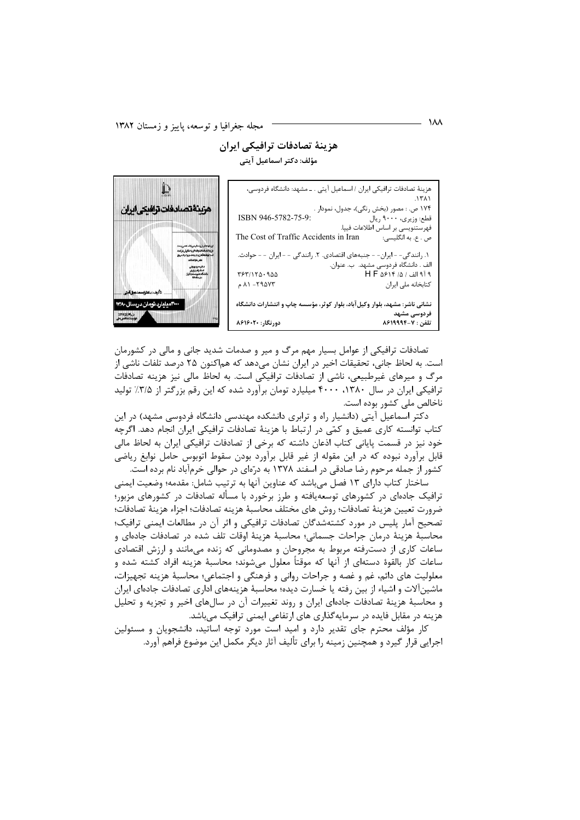## هزینهٔ تصادفات ترافیکی ایران مؤلف: دکتر اسماعیل آیتی

| هزینهٔ تصادفات ترافیکی ایران / اسماعیل آیتی . ــ مشهد: دانشگاه فردوسی،     |                                          |  |  |  |
|----------------------------------------------------------------------------|------------------------------------------|--|--|--|
|                                                                            | ۰۱۳۸۱                                    |  |  |  |
|                                                                            | ۱۷۴ ص. : مصور (بخش رنگی)، جدول، نمودار . |  |  |  |
| ISBN 946-5782-75-9:                                                        | قطع: وزیری، ۹۰۰۰ ریال                    |  |  |  |
|                                                                            | فهرستنويسي بر اساس اطلاعات فيپا.         |  |  |  |
| ص . ع. به انگلیسی: The Cost of Traffic Accidents in Iran                   |                                          |  |  |  |
|                                                                            |                                          |  |  |  |
| ۱. رانندگی- - ایران- - جنبههای اقتصادی. ۲. رانندگی - - ایران - - حوادث.    |                                          |  |  |  |
|                                                                            | الف . دانشگاه فردوسی مشهد.  ب. عنوان.    |  |  |  |
| 763170.900                                                                 | ۹ آ۹ الف / ۱۵ / H F ۵۶۱۴                 |  |  |  |
| ۸۱ -۲۹۵۷۳ م                                                                | كتابخانه ملى ايران                       |  |  |  |
|                                                                            |                                          |  |  |  |
| نشانی ناشر: مشهد، بلوار وکیلآباد، بلوار کوثر، مؤسسه چاپ و انتشارات دانشگاه |                                          |  |  |  |
|                                                                            | فردوسی مشهد                              |  |  |  |
| دورنگار: ۸۶۱۶۰۲۰                                                           | تلفن : ۸۶۱۹۹۹۴-۷                         |  |  |  |



تصادفات ترافیکی از عوامل بسیار مهم مرگ و میر و صدمات شدید جانی و مالی در کشورمان است. به لحاظ جانی، تحقیقات اخیر در ایران نشان میدهد که هماکنون ۲۵ درصد تلفات ناشی از مرگ و میرهای غیرطبیعی، ناشی از تصادفات ترافیکی است. به لحاظ مالی نیز هزینه تصادفات ترافیکی ایران در سال ۱۳۸۰، ۴۰۰۰ میلیارد تومان برآورد شده که این رقم بزرگتر از ۳/۵٪ تولید ناخالص ملي كشور بوده است.

دکتر اسماعیل آیتی (دانشیار راه و ترابری دانشکده مهندسی دانشگاه فردوسی مشهد) در این کتاب توانسته کاری عمیق و کمّی در ارتباط با هزینهٔ تصادفات ترافیکی ایران انجام دهد. اگرچه خود نیز در قسمت پایانی کتاب اذعان داشته که برخی از تصادفات ترافیکی ایران به لحاظ مالی قابل برآورد نبوده که در این مقوله از غیر قابل برآورد بودن سقوط اتوبوس حامل نوابغ ریاضی کشور از جمله مرحوم رضا صادقی در اسفند ۱۳۷۸ به درّمای در حوالی خرمآباد نام برده است.

ساختار كتاب داراي ١٣ فصل مي باشد كه عناوين أنها به ترتيب شامل: مقدمه؛ وضعيت ايمني ترافیک جادهای در کشورهای توسعهیافته و طرز برخورد با مسأله تصادفات در کشورهای مزبور؛ ضرورت تعيين هزينهٔ تصادفات؛ روش هاي مختلف محاسبهٔ هزينه تصادفات؛ اجزاء هزينهٔ تصادفات؛ تصحیح آمار پلیس در مورد کشتهشدگان تصادفات ترافیکی و اثر آن در مطالعات ایمنی ترافیک؛ محاسبهٔ هزینهٔ درمان جراحات جسمانی؛ محاسبهٔ هزینهٔ اوقات تلف شده در تصادفات جادهای و ساعات کاری از دسترفته مربوط به مجروحان و مصدومانی که زنده میمانند و ارزش اقتصادی ساعات کار بالقوهٔ دستهای از آنها که موقتاً معلول میشوند؛ محاسبهٔ هزینه افراد کشته شده و معلولیت های دائم، غم و غصه و جراحات روانی و فرهنگی و اجتماعی؛ محاسبهٔ هزینه تجهیزات، ماشینآلات و اشیاء از بین رفته یا خسارت دیده؛ محاسبهٔ هزینههای اداری تصادفات جادهای ایران و محاسبهٔ هزینهٔ تصادفات جادهای ایران و روند تغییرات آن در سالهای اخیر و تجزیه و تحلیل هزینه در مقابل فایده در سرمایهگذاری های ارتفاعی ایمنی ترافیک میباشد.

کار مؤلف محترم جای تقدیر دارد و امید است مورد توجه اساتید، دانشجویان و مسئولین اجرایی قرار گیرد و همچنین زمینه را برای تألیف آثار دیگر مکمل این موضوع فراهم آورد.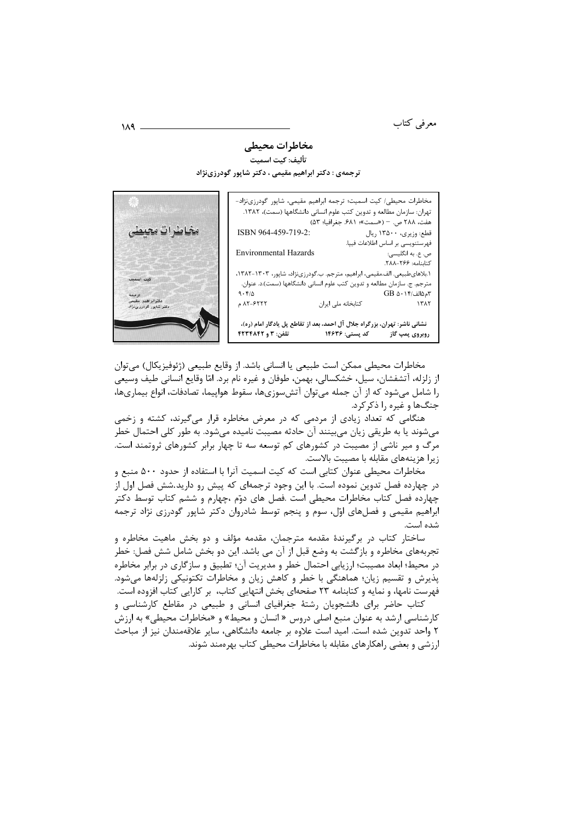معرفى كتاب

## مخاطرات محيطي

تأليف: كيت اسميت ترجمهی : دکتر ابراهیم مقیمی ، دکتر شاپور گودرزینژاد

|  | مخاطرات محیطی/ کیت اسمیت؛ ترجمه ابراهیم مقیمی، شاپور گودرزینژاد-           |                                                                           |                |                                         |
|--|----------------------------------------------------------------------------|---------------------------------------------------------------------------|----------------|-----------------------------------------|
|  |                                                                            | تهران: سازمان مطالعه و تدوين كتب علوم انسانى دانشگاهها (سمت)، ١٣٨٢.       |                |                                         |
|  |                                                                            |                                                                           |                | هفت، ٢٨٨ ص. - («سمت»؛ ۶٨١. جغرافيا؛ ۵۳) |
|  | ISBN 964-459-719-2:                                                        |                                                                           |                | قطع: وزیری، ۱۳۵۰۰ ریال                  |
|  |                                                                            |                                                                           |                | فهرستنويسي بر اساس اطلاعات فيپا.        |
|  | <b>Environmental Hazards</b>                                               |                                                                           |                | ص. ع. به انگلیسی:                       |
|  |                                                                            |                                                                           |                | كتابنامه: ٢۶۶-٢٨٨.                      |
|  | ١.بلاهای طبیعی. الف.مقیمی، ابراهیم، مترجم. ب.گودرزینژاد، شاپور، ١٣٠٣-١٣٨٢، |                                                                           |                |                                         |
|  |                                                                            | مترجم. ج. سازمان مطالعه و تدوين كتب علوم انساني دانشگاهها (سمت).د. عنوان. |                |                                         |
|  | 9.51                                                                       |                                                                           |                | ۳م۱۵الف/۰۱۴ GB                          |
|  | ۸۲-۶۲۲۲ م                                                                  | كتابخانه ملى ايران                                                        |                | ١٣٨٢                                    |
|  |                                                                            |                                                                           |                |                                         |
|  | نشانی ناشر: تهران، بزرگراه جلال آل احمد، بعد از تقاطع پل یادگار امام (ره)، |                                                                           |                |                                         |
|  | <b>تلفن: ۳ و ۴۲۳۴۸۴۲</b>                                                   |                                                                           | کد پستی: ۱۴۶۳۶ | روبروی پمپ گاز                          |



هنگامی که تعداد زیادی از مردمی که در معرض مخاطره قرار میگیرند، کشته و زخمی میشوند یا به طریقی زیان میبینند آن حادثه مصیبت نامیده میشود. به طور کلی احتمال خطر مرگ و میر ناشی از مصیبت در کشورهای کم توسعه سه تا چهار برابر کشورهای ثروتمند است. زيرا هزينههاي مقابله با مصيبت بالاست.

مخاطرات محیطی عنوان کتابی است که کیت اسمیت آنرا با استفاده از حدود ۵۰۰ منبع و در چهارده فصل تدوین نموده است. با این وجود ترجمهای که پیش رو دارید.شش فصل اول از چهارده فصل کتاب مخاطرات محیطی است .فصل های دوّم ،چهارم و ششم کتاب توسط دکتر ابراهیم مقیمی و فصلهای اوّل، سوم و پنجم توسط شادروان دکتر شاپور گودرزی نژاد ترجمه شده است.

ساختار کتاب در برگیرندهٔ مقدمه مترجمان، مقدمه مؤلف و دو بخش ماهیت مخاطره و تجربههای مخاطره و بازگشت به وضع قبل از آن می باشد. این دو بخش شامل شش فصل: خطر در محیط؛ ابعاد مصیبت؛ ارزیابی احتمال خطر و مدیریت آن؛ تطبیق و سازگاری در برابر مخاطره پذیرش و تقسیم زیان؛ هماهنگی با خطر و کاهش زیان و مخاطرات تکتونیکی زلزلهها میشود. فهرست نامها، و نمایه و کتابنامه ۲۳ صفحهای بخش انتهایی کتاب، بر کارایی کتاب افزوده است.

کتاب حاضر برای دانشجویان رشتهٔ جغرافیای انسانی و طبیعی در مقاطع کارشناسی و کارشناسی ارشد به عنوان منبع اصلی دروس « انسان و محیط» و «مخاطرات محیطی» به ارزش ۲ واحد تدوین شده است. امید است علاوه بر جامعه دانشگاهی، سایر علاقهمندان نیز از مباحث ارزشی و بعضی راهکارهای مقابله با مخاطرات محیطی کتاب بهرهمند شوند.

 $MA$   $-$ 

<u>ځاملرات محيطہ</u>

كيت اسميد

ترجما<br>دکترابراهیم مقیم<br>دکتر شاپور گودرری ژا